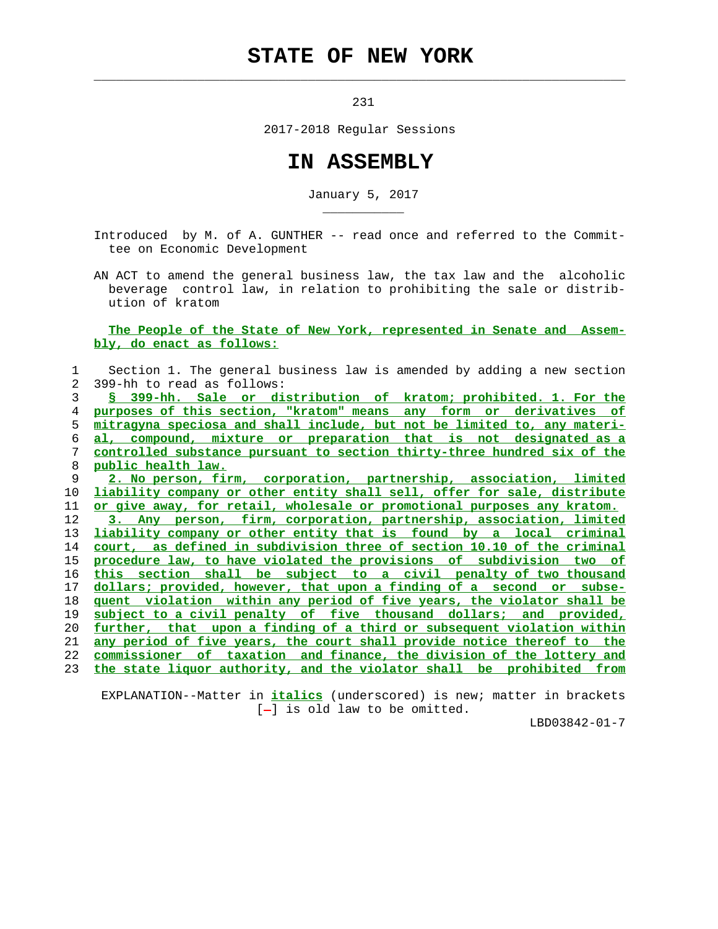## **STATE OF NEW YORK**

 $\mathcal{L}_\text{max} = \frac{1}{2} \sum_{i=1}^{n} \frac{1}{2} \sum_{i=1}^{n} \frac{1}{2} \sum_{i=1}^{n} \frac{1}{2} \sum_{i=1}^{n} \frac{1}{2} \sum_{i=1}^{n} \frac{1}{2} \sum_{i=1}^{n} \frac{1}{2} \sum_{i=1}^{n} \frac{1}{2} \sum_{i=1}^{n} \frac{1}{2} \sum_{i=1}^{n} \frac{1}{2} \sum_{i=1}^{n} \frac{1}{2} \sum_{i=1}^{n} \frac{1}{2} \sum_{i=1}^{n} \frac{1$ 

\_\_\_\_\_\_\_\_\_\_\_

231

2017-2018 Regular Sessions

## **IN ASSEMBLY**

January 5, 2017

 Introduced by M. of A. GUNTHER -- read once and referred to the Commit tee on Economic Development

 AN ACT to amend the general business law, the tax law and the alcoholic beverage control law, in relation to prohibiting the sale or distrib ution of kratom

 **The People of the State of New York, represented in Senate and Assem bly, do enact as follows:**

| 1              | Section 1. The general business law is amended by adding a new section        |
|----------------|-------------------------------------------------------------------------------|
| $\overline{2}$ | 399-hh to read as follows:                                                    |
| 3              | § 399-hh. Sale or distribution of kratom; prohibited. 1. For the              |
| 4              | purposes of this section, "kratom" means any form or derivatives of           |
| 5              | mitragyna speciosa and shall include, but not be limited to, any materi-      |
| 6              | al, compound, mixture or preparation that is not designated as a              |
| 7              | controlled substance pursuant to section thirty-three hundred six of the      |
| 8              | public health law.                                                            |
| 9              | 2. No person, firm, corporation, partnership, association, limited            |
| 10             | liability company or other entity shall sell, offer for sale, distribute      |
| 11             | or give away, for retail, wholesale or promotional purposes any kratom.       |
| 12             | person, firm, corporation, partnership, association, limited<br>3. Any        |
| 13             | liability company or other entity that is found by a local criminal           |
| 14             | court, as defined in subdivision three of section 10.10 of the criminal       |
| 15             | procedure law, to have violated the provisions of subdivision two of          |
| 16             | this section shall be subject to a civil penalty of two thousand              |
| 17             | dollars; provided, however, that upon a finding of a second or subse-         |
| 18             | <u>quent violation within any period of five years, the violator shall be</u> |
| 19             | subject to a civil penalty of five thousand dollars; and provided,            |
| 20             | further, that upon a finding of a third or subsequent violation within        |
| 21             | any period of five years, the court shall provide notice thereof to the       |
| 22             | commissioner of taxation and finance, the division of the lottery and         |
| 23             | the state liquor authority, and the violator shall be prohibited from         |
|                |                                                                               |

 EXPLANATION--Matter in **italics** (underscored) is new; matter in brackets  $[-]$  is old law to be omitted.

LBD03842-01-7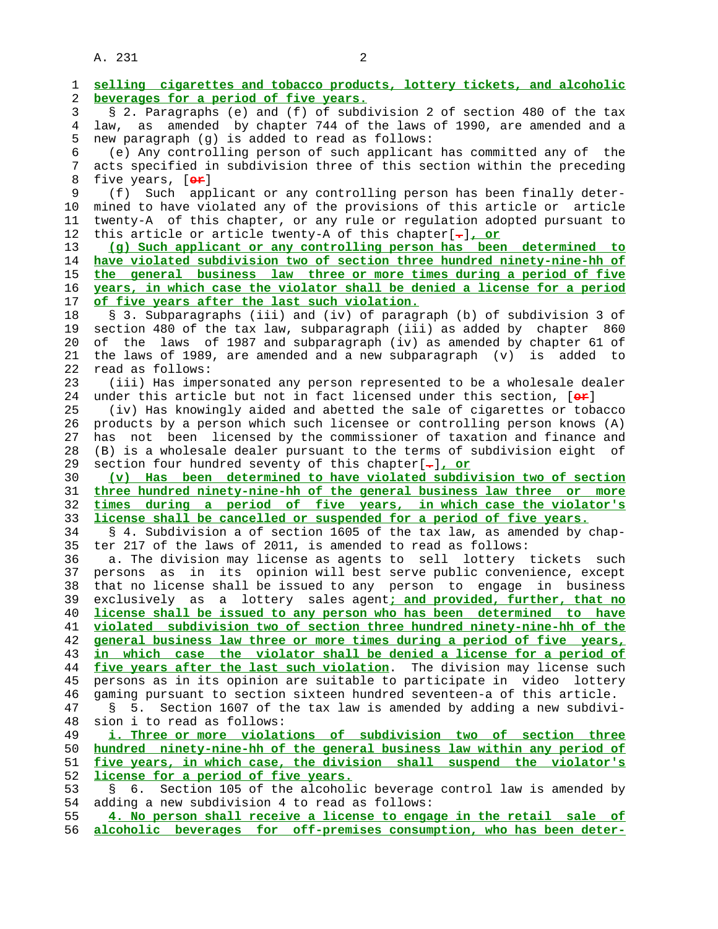A. 231 2

 1 **selling cigarettes and tobacco products, lottery tickets, and alcoholic** 2 **beverages for a period of five years.** 3 § 2. Paragraphs (e) and (f) of subdivision 2 of section 480 of the tax 4 law, as amended by chapter 744 of the laws of 1990, are amended and a 5 new paragraph (g) is added to read as follows: 6 (e) Any controlling person of such applicant has committed any of the 7 acts specified in subdivision three of this section within the preceding 8 five years, [**o<del>r</del>]**<br>9 (f) Such app 9 (f) Such applicant or any controlling person has been finally deter- 10 mined to have violated any of the provisions of this article or article 11 twenty-A of this chapter, or any rule or regulation adopted pursuant to 12 this article or article twenty-A of this chapter[**.**]**, or** 13 **(g) Such applicant or any controlling person has been determined to** 14 **have violated subdivision two of section three hundred ninety-nine-hh of** 15 **the general business law three or more times during a period of five** 16 **years, in which case the violator shall be denied a license for a period** 17 **of five years after the last such violation.** 18 § 3. Subparagraphs (iii) and (iv) of paragraph (b) of subdivision 3 of 19 section 480 of the tax law, subparagraph (iii) as added by chapter 860 20 of the laws of 1987 and subparagraph (iv) as amended by chapter 61 of 21 the laws of 1989, are amended and a new subparagraph (v) is added to 22 read as follows: 23 (iii) Has impersonated any person represented to be a wholesale dealer 24 under this article but not in fact licensed under this section, [**or**] 25 (iv) Has knowingly aided and abetted the sale of cigarettes or tobacco 26 products by a person which such licensee or controlling person knows (A) 27 has not been licensed by the commissioner of taxation and finance and 28 (B) is a wholesale dealer pursuant to the terms of subdivision eight of 29 section four hundred seventy of this chapter[**.**]**, or** 30 **(v) Has been determined to have violated subdivision two of section** 31 **three hundred ninety-nine-hh of the general business law three or more** 32 **times during a period of five years, in which case the violator's** 33 **license shall be cancelled or suspended for a period of five years.** 34 § 4. Subdivision a of section 1605 of the tax law, as amended by chap- 35 ter 217 of the laws of 2011, is amended to read as follows: 36 a. The division may license as agents to sell lottery tickets such 37 persons as in its opinion will best serve public convenience, except 38 that no license shall be issued to any person to engage in business 39 exclusively as a lottery sales agent**; and provided, further, that no** 40 **license shall be issued to any person who has been determined to have** 41 **violated subdivision two of section three hundred ninety-nine-hh of the** 42 **general business law three or more times during a period of five years,** 43 **in which case the violator shall be denied a license for a period of** 44 **five years after the last such violation**. The division may license such 45 persons as in its opinion are suitable to participate in video lottery 46 gaming pursuant to section sixteen hundred seventeen-a of this article. 47 § 5. Section 1607 of the tax law is amended by adding a new subdivi- 48 sion i to read as follows: 49 **i. Three or more violations of subdivision two of section three** 50 **hundred ninety-nine-hh of the general business law within any period of** 51 **five years, in which case, the division shall suspend the violator's** 52 **license for a period of five years.** 53 § 6. Section 105 of the alcoholic beverage control law is amended by 54 adding a new subdivision 4 to read as follows: 55 **4. No person shall receive a license to engage in the retail sale of** 56 **alcoholic beverages for off-premises consumption, who has been deter-**